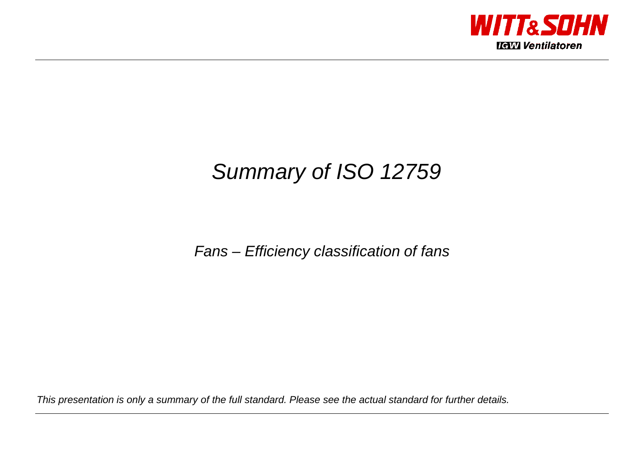

# Summary of ISO 12759

## Fans – Efficiency classification of fans

This presentation is only a summary of the full standard. Please see the actual standard for further details.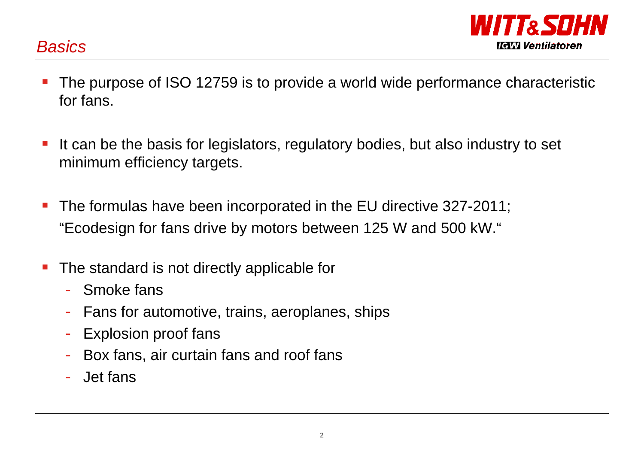**Basics** 



- $\mathcal{L}_{\mathcal{A}}$  The purpose of ISO 12759 is to provide a world wide performance characteristic for fans.
- P) It can be the basis for legislators, regulatory bodies, but also industry to set minimum efficiency targets.
- P) The formulas have been incorporated in the EU directive 327-2011; "Ecodesign for fans drive by motors between 125 W and 500 kW."
- $\mathcal{L}_{\mathcal{A}}$  The standard is not directly applicable for
	- Smoke fans
	- -
	-
	- Fans for automotive, trains, aeroplanes, ships<br>
	Explosion proof fans<br>
	Box fans, air curtain fans and roof fans<br>
	Jet fans
	-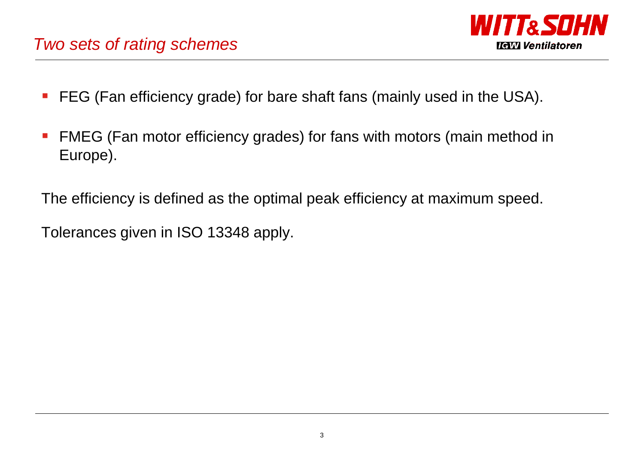# Two sets of rating schemes



- b. FEG (Fan efficiency grade) for bare shaft fans (mainly used in the USA).
- P) FMEG (Fan motor efficiency grades) for fans with motors (main method in Europe).

The efficiency is defined as the optimal peak efficiency at maximum speed.

Tolerances given in ISO 13348 apply.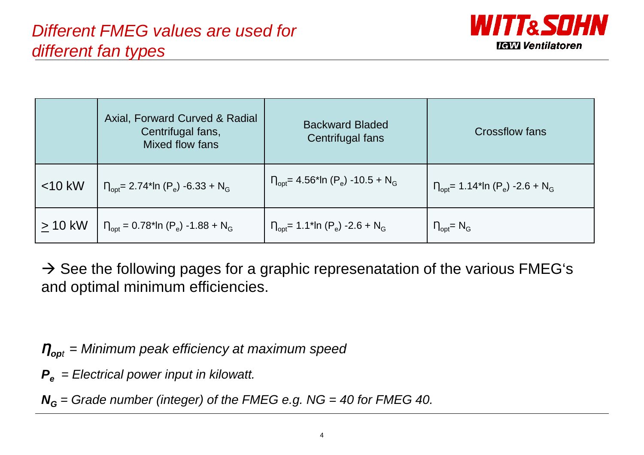

|           | Axial, Forward Curved & Radial<br>Centrifugal fans,<br>Mixed flow fans    | <b>Backward Bladed</b><br>Centrifugal fans                          | Crossflow fans                                                     |  |  |  |  |
|-----------|---------------------------------------------------------------------------|---------------------------------------------------------------------|--------------------------------------------------------------------|--|--|--|--|
| $<$ 10 kW | $n_{\text{opt}}$ = 2.74*ln (P <sub>e</sub> ) -6.33 + N <sub>G</sub>       | $n_{\text{opt}}$ = 4.56*ln (P <sub>e</sub> ) -10.5 + N <sub>G</sub> | $T_{\text{opt}}$ = 1.14*ln (P <sub>e</sub> ) -2.6 + N <sub>G</sub> |  |  |  |  |
| $> 10$ kW | $\Gamma_{\text{opt}} = 0.78$ *ln (P <sub>e</sub> ) -1.88 + N <sub>G</sub> | $n_{\text{opt}}$ = 1.1*ln (P <sub>e</sub> ) -2.6 + N <sub>G</sub>   | $\eta_{opt}$ = N <sub>G</sub>                                      |  |  |  |  |

→ See the following pages for a graphic represenatation of the various FMEG's<br>and optimal minimum efficiencies and optimal minimum efficiencies.

*Ƞ***op**<sup>t</sup> = Minimum peak efficiency at maximum speed

**Pe** = Electrical power input in kilowatt.

**NG** = Grade number (integer) of the FMEG e.g. NG = 40 for FMEG 40.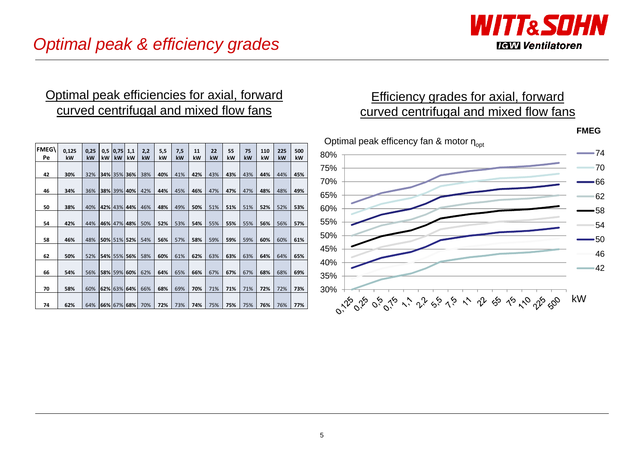

### Optimal peak efficiencies for axial, forward curved centrifugal and mixed flow fans

|             |             |            |           |             |             |           |           |           |          |          |          |          |           |           |           | Οp         |
|-------------|-------------|------------|-----------|-------------|-------------|-----------|-----------|-----------|----------|----------|----------|----------|-----------|-----------|-----------|------------|
| FMEG\<br>Pe | 0,125<br>kW | 0,25<br>kW | 0,5<br>kW | 0,75 <br>kW | 1,1<br>kW   | 2,2<br>kW | 5,5<br>kW | 7,5<br>kW | 11<br>kW | 22<br>kW | 55<br>kW | 75<br>kW | 110<br>kW | 225<br>kW | 500<br>kW | 80%        |
| 42          | 30%         | 32%        |           |             | 34% 35% 36% | 38%       | 40%       | 41%       | 42%      | 43%      | 43%      | 43%      | 44%       | 44%       | 45%       | 75%        |
| 46          | 34%         | 36%        |           |             | 38% 39% 40% | 42%       | 44%       | 45%       | 46%      | 47%      | 47%      | 47%      | 48%       | 48%       | 49%       | 70%        |
| 50          | 38%         | 40%        |           |             | 42% 43% 44% | 46%       | 48%       | 49%       | 50%      | 51%      | 51%      | 51%      | 52%       | 52%       | 53%       | 65%<br>60% |
| 54          | 42%         | 44%        |           |             | 46% 47% 48% | 50%       | 52%       | 53%       | 54%      | 55%      | 55%      | 55%      | 56%       | 56%       | 57%       | 55%        |
| 58          | 46%         | 48%        |           |             | 50% 51% 52% | 54%       | 56%       | 57%       | 58%      | 59%      | 59%      | 59%      | 60%       | 60%       | 61%       | 50%        |
| 62          | 50%         | 52%        |           |             | 54% 55% 56% | 58%       | 60%       | 61%       | 62%      | 63%      | 63%      | 63%      | 64%       | 64%       | 65%       | 45%        |
| 66          | 54%         | 56%        |           |             | 58% 59% 60% | 62%       | 64%       | 65%       | 66%      | 67%      | 67%      | 67%      | 68%       | 68%       | 69%       | 40%        |
| 70          | 58%         | 60%        |           |             | 62% 63% 64% | 66%       | 68%       | 69%       | 70%      | 71%      | 71%      | 71%      | 72%       | 72%       | 73%       | 35%<br>30% |
| 74          | 62%         | 64%        |           |             | 66% 67% 68% | 70%       | 72%       | 73%       | 74%      | 75%      | 75%      | 75%      | 76%       | 76%       | 77%       |            |

### Efficiency grades for axial, forward curved centrifugal and mixed flow fans

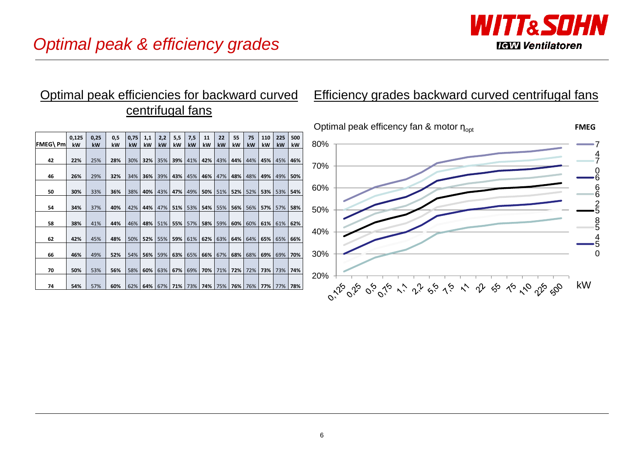

### **FMEG\ Pm0,125 kW0,25 kW0,5 kW0,75 kW1,1 kW2,2 kW5,5 kW7,5 kW11 kW22 kW55 kW75 kW110 kW225 kW500 kW** 80%74Optimal peak efficency fan & motor ŋ<sub>opt</sub> **FMEG**centrifugal fans**<sup>42</sup> 22%** 25% **28%** 30% **32%** 35% **39%** 41% **42%** 43% **44%** 44% **45%** 45% **46% <sup>46</sup> 26%** 29% **32%** 34% **36%** 39% **43%** 45% **46%** 47% **48%** 48% **49%** 49% **50% <sup>50</sup> 30%** 33% **36%** 38% **40%** 43% **47%** 49% **50%** 51% **52%** 52% **53%** 53% **54% <sup>54</sup> 34%** 37% **40%** 42% **44%** 47% **51%** 53% **54%** 55% **56%** 56% **57%** 57% **58% <sup>58</sup> 38%** 41% **44%** 46% **48%** 51% **55%** 57% **58%** 59% **60%** 60% **61%** 61% **62% <sup>62</sup> 42%** 45% **48%** 50% **52%** 55% **59%** 61% **62%** 63% **64%** 64% **65%** 65% **66% <sup>66</sup> 46%** 49% **52%** 54% **56%** 59% **63%** 65% **66%** 67% **68%** 68% **69%** 69% **70% <sup>70</sup> 50%** 53% **56%** 58% **60%** 63% **67%** 69% **70%** 71% **72%** 72% **73%** 73% **74% <sup>74</sup> 54%** 57% **60%** 62% **64%** 67% **71%** 73% **74%** 75% **76%** 76% **77%** 77% **78%**  $20\%$  + 20% + 20% + 20% + 20% + 20% + 20% + 20% + 20% + 20% + 20% + 20% + 20% + 20% + 20% + 20% + 20% + 20% + 20% + 20% + 20% + 20% + 20% + 20% + 20% + 20% + 20% + 20% + 20% + 20% + 20% + 20% + 20% + 20% + 20% + 20% + 20 30%40%50%60%70%7066 6 2 5 8 5 4 5 0kW

### Optimal peak efficiencies for backward curved Efficiency grades backward curved centrifugal fans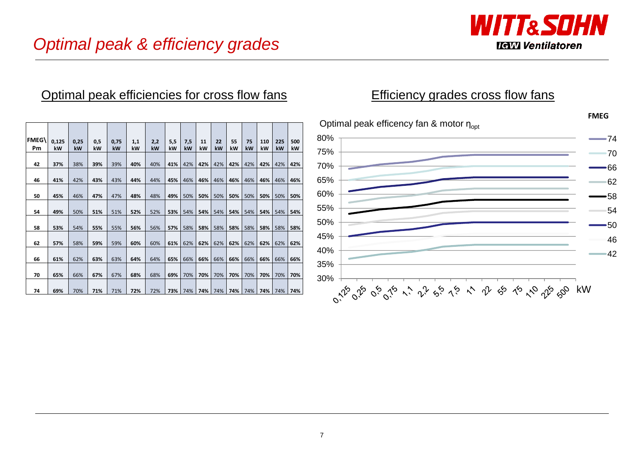

### Optimal peak efficiencies for cross flow fans

| <b>FMEG\</b><br>Pm | 0,125<br>kW | 0,25<br>kW | 0,5<br>kW | 0,75<br>kW | 1,1<br>kW | 2,2<br>kW | 5,5<br>kW | 7,5<br>kW | 11<br>kW | 22<br>kW | 55<br>kW | 75<br>kW | 110<br>kW | 225<br>kW | 500<br>kW |
|--------------------|-------------|------------|-----------|------------|-----------|-----------|-----------|-----------|----------|----------|----------|----------|-----------|-----------|-----------|
| 42                 | 37%         | 38%        | 39%       | 39%        | 40%       | 40%       | 41%       | 42%       | 42%      | 42%      | 42%      | 42%      | 42%       | 42%       | 42%       |
| 46                 | 41%         | 42%        | 43%       | 43%        | 44%       | 44%       | 45%       | 46%       | 46%      | 46%      | 46%      | 46%      | 46%       | 46%       | 46%       |
| 50                 | 45%         | 46%        | 47%       | 47%        | 48%       | 48%       | 49%       | 50%       | 50%      | 50%      | 50%      | 50%      | 50%       | 50%       | 50%       |
| 54                 | 49%         | 50%        | 51%       | 51%        | 52%       | 52%       | 53%       | 54%       | 54%      | 54%      | 54%      | 54%      | 54%       | 54%       | 54%       |
| 58                 | 53%         | 54%        | 55%       | 55%        | 56%       | 56%       | 57%       | 58%       | 58%      | 58%      | 58%      | 58%      | 58%       | 58%       | 58%       |
| 62                 | 57%         | 58%        | 59%       | 59%        | 60%       | 60%       | 61%       | 62%       | 62%      | 62%      | 62%      | 62%      | 62%       | 62%       | 62%       |
| 66                 | 61%         | 62%        | 63%       | 63%        | 64%       | 64%       | 65%       | 66%       | 66%      | 66%      | 66%      | 66%      | 66%       | 66%       | 66%       |
| 70                 | 65%         | 66%        | 67%       | 67%        | 68%       | 68%       | 69%       | 70%       | 70%      | 70%      | 70%      | 70%      | 70%       | 70%       | 70%       |
| 74                 | 69%         | 70%        | 71%       | 71%        | 72%       | 72%       | 73%       | 74%       | 74%      | 74%      | 74%      | 74%      | 74%       | 74%       | 74%       |

### Efficiency grades cross flow fans

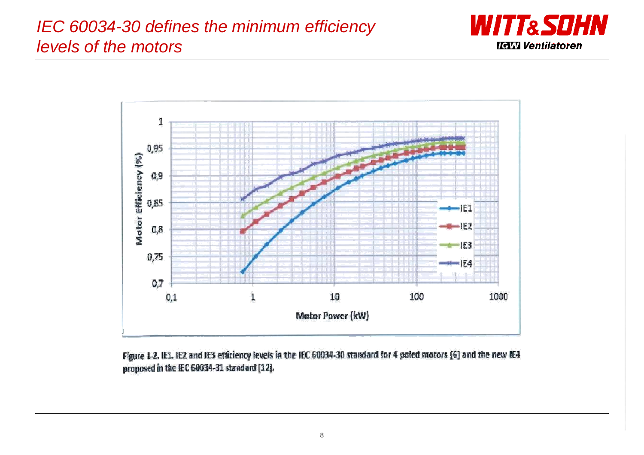# IEC 60034-30 defines the minimum efficiency levels of the motors





Figure 1-2. IE1, IE2 and IE3 efficiency levels in the IEC 60034-30 standard for 4 poled motors [6] and the new IE4 proposed in the IEC 60034-31 standard [12].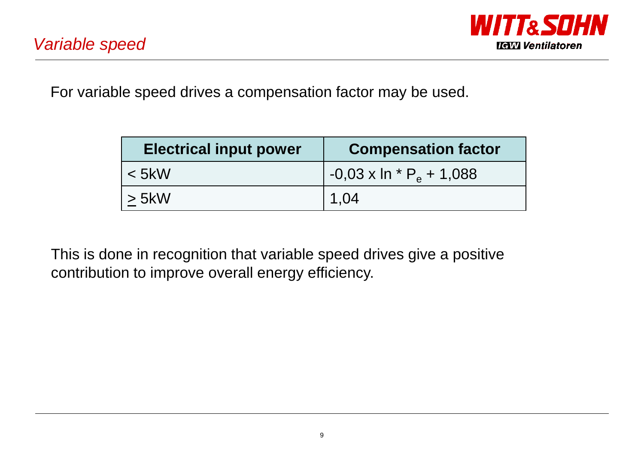

For variable speed drives a compensation factor may be used.

| <b>Electrical input power</b> | <b>Compensation factor</b>               |
|-------------------------------|------------------------------------------|
| $<$ 5kW                       | $-0.03 \times \ln {^*P_{\rm e}} + 1.088$ |
| $\geq$ 5kW                    | 1,04                                     |

This is done in recognition that variable speed drives give a positive contribution to improve overall energy efficiency.